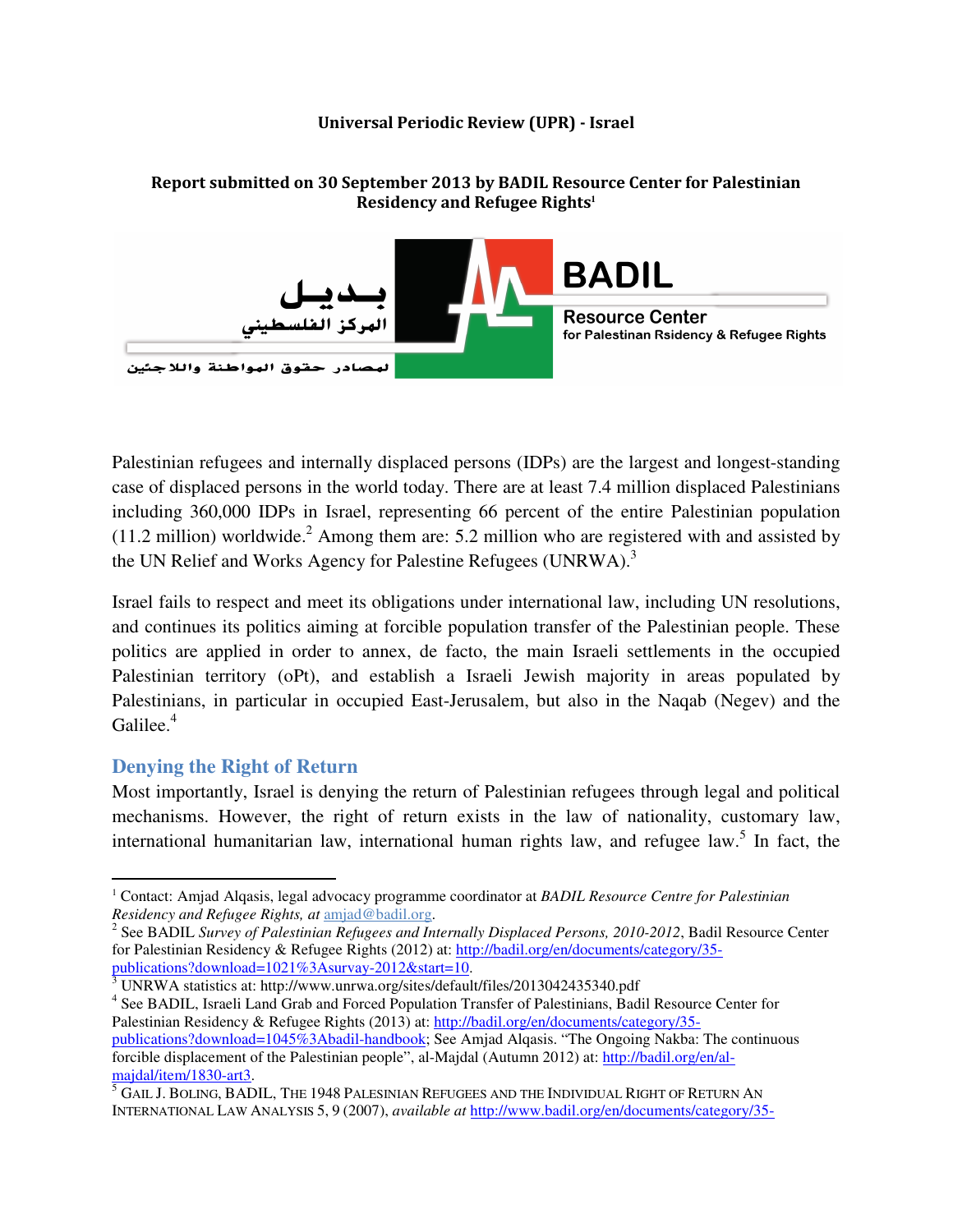#### Universal Periodic Review (UPR) - Israel

# Residency and Refugee Rights**<sup>1</sup> BADIL Resource Center** نهرکز ال for Palestinan Rsidency & Refugee Rights صادر حقوق الهواطنة واللاجئين

Report submitted on 30 September 2013 by BADIL Resource Center for Palestinian

Palestinian refugees and internally displaced persons (IDPs) are the largest and longest-standing case of displaced persons in the world today. There are at least 7.4 million displaced Palestinians including 360,000 IDPs in Israel, representing 66 percent of the entire Palestinian population (11.2 million) worldwide.<sup>2</sup> Among them are: 5.2 million who are registered with and assisted by the UN Relief and Works Agency for Palestine Refugees (UNRWA).<sup>3</sup>

Israel fails to respect and meet its obligations under international law, including UN resolutions, and continues its politics aiming at forcible population transfer of the Palestinian people. These politics are applied in order to annex, de facto, the main Israeli settlements in the occupied Palestinian territory (oPt), and establish a Israeli Jewish majority in areas populated by Palestinians, in particular in occupied East-Jerusalem, but also in the Naqab (Negev) and the Galilee.<sup>4</sup>

# **Denying the Right of Return**

 $\overline{a}$ 

Most importantly, Israel is denying the return of Palestinian refugees through legal and political mechanisms. However, the right of return exists in the law of nationality, customary law, international humanitarian law, international human rights law, and refugee law.<sup>5</sup> In fact, the

publications?download=1021%3Asurvay-2012&start=10.<br><sup>3</sup> UNRWA statistics at: http://www.unrwa.org/sites/default/files/2013042435340.pdf

<sup>&</sup>lt;sup>1</sup> Contact: Amjad Alqasis, legal advocacy programme coordinator at *BADIL Resource Centre for Palestinian Residency and Refugee Rights, at* amjad@badil.org.

<sup>&</sup>lt;sup>2</sup> See BADIL *Survey of Palestinian Refugees and Internally Displaced Persons, 2010-2012*, Badil Resource Center for Palestinian Residency & Refugee Rights (2012) at: http://badil.org/en/documents/category/35-

<sup>&</sup>lt;sup>4</sup> See BADIL, Israeli Land Grab and Forced Population Transfer of Palestinians, Badil Resource Center for Palestinian Residency & Refugee Rights (2013) at: http://badil.org/en/documents/category/35 publications?download=1045%3Abadil-handbook; See Amjad Alqasis. "The Ongoing Nakba: The continuous forcible displacement of the Palestinian people", al-Majdal (Autumn 2012) at: http://badil.org/en/al-

<sup>&</sup>lt;mark>majdal/item/1830-art3</mark>.<br><sup>5</sup> GAIL J. BOLING, BADIL, THE 1948 PALESINIAN REFUGEES AND THE INDIVIDUAL RIGHT OF RETURN AN INTERNATIONAL LAW ANALYSIS 5, 9 (2007), *available at* http://www.badil.org/en/documents/category/35-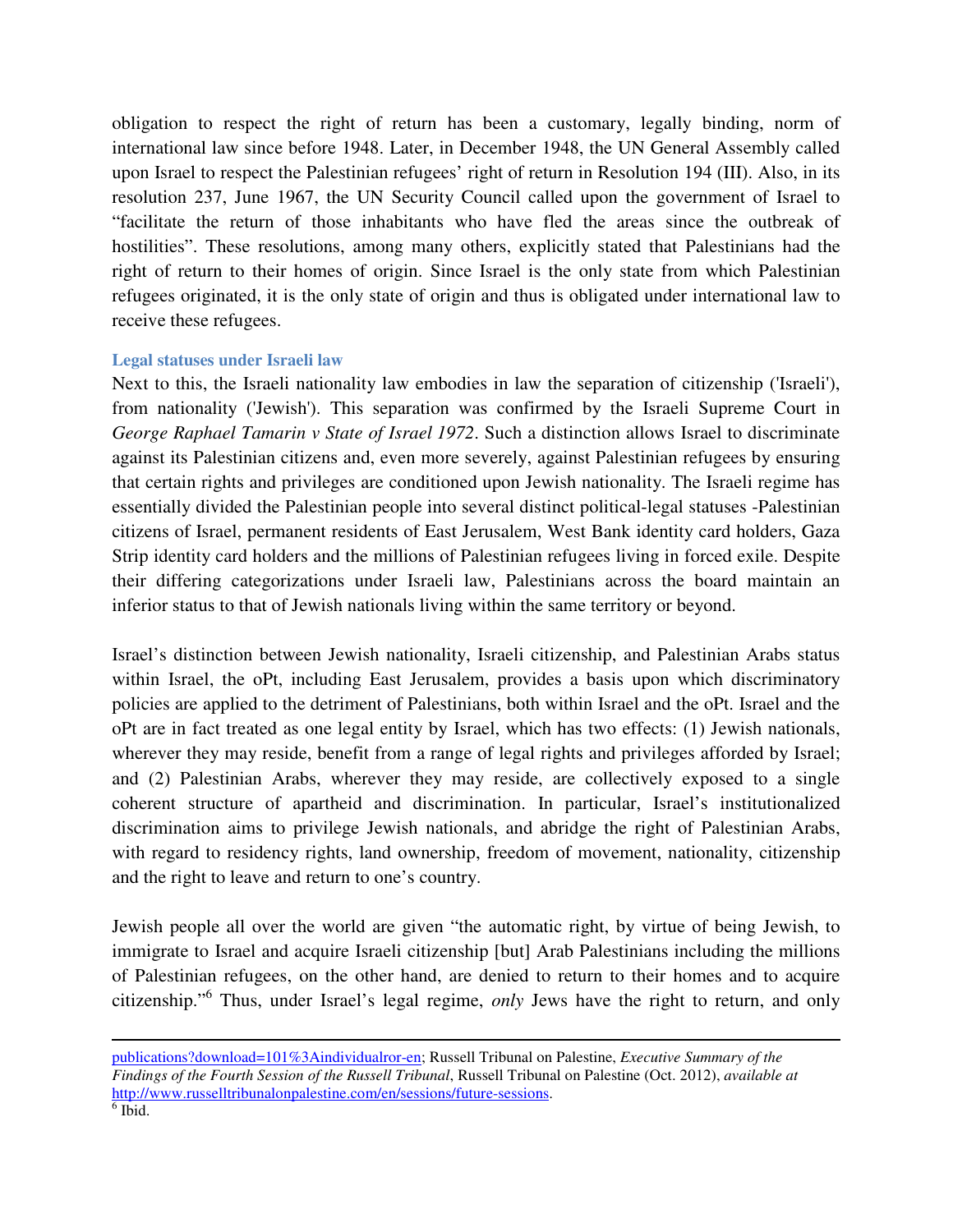obligation to respect the right of return has been a customary, legally binding, norm of international law since before 1948. Later, in December 1948, the UN General Assembly called upon Israel to respect the Palestinian refugees' right of return in Resolution 194 (III). Also, in its resolution 237, June 1967, the UN Security Council called upon the government of Israel to "facilitate the return of those inhabitants who have fled the areas since the outbreak of hostilities". These resolutions, among many others, explicitly stated that Palestinians had the right of return to their homes of origin. Since Israel is the only state from which Palestinian refugees originated, it is the only state of origin and thus is obligated under international law to receive these refugees.

### **Legal statuses under Israeli law**

Next to this, the Israeli nationality law embodies in law the separation of citizenship ('Israeli'), from nationality ('Jewish'). This separation was confirmed by the Israeli Supreme Court in *George Raphael Tamarin v State of Israel 1972*. Such a distinction allows Israel to discriminate against its Palestinian citizens and, even more severely, against Palestinian refugees by ensuring that certain rights and privileges are conditioned upon Jewish nationality. The Israeli regime has essentially divided the Palestinian people into several distinct political-legal statuses -Palestinian citizens of Israel, permanent residents of East Jerusalem, West Bank identity card holders, Gaza Strip identity card holders and the millions of Palestinian refugees living in forced exile. Despite their differing categorizations under Israeli law, Palestinians across the board maintain an inferior status to that of Jewish nationals living within the same territory or beyond.

Israel's distinction between Jewish nationality, Israeli citizenship, and Palestinian Arabs status within Israel, the oPt, including East Jerusalem, provides a basis upon which discriminatory policies are applied to the detriment of Palestinians, both within Israel and the oPt. Israel and the oPt are in fact treated as one legal entity by Israel, which has two effects: (1) Jewish nationals, wherever they may reside, benefit from a range of legal rights and privileges afforded by Israel; and (2) Palestinian Arabs, wherever they may reside, are collectively exposed to a single coherent structure of apartheid and discrimination. In particular, Israel's institutionalized discrimination aims to privilege Jewish nationals, and abridge the right of Palestinian Arabs, with regard to residency rights, land ownership, freedom of movement, nationality, citizenship and the right to leave and return to one's country.

Jewish people all over the world are given "the automatic right, by virtue of being Jewish, to immigrate to Israel and acquire Israeli citizenship [but] Arab Palestinians including the millions of Palestinian refugees, on the other hand, are denied to return to their homes and to acquire citizenship."<sup>6</sup> Thus, under Israel's legal regime, *only* Jews have the right to return, and only

l

publications?download=101%3Aindividualror-en; Russell Tribunal on Palestine, *Executive Summary of the Findings of the Fourth Session of the Russell Tribunal*, Russell Tribunal on Palestine (Oct. 2012), *available at* http://www.russelltribunalonpalestine.com/en/sessions/future-sessions.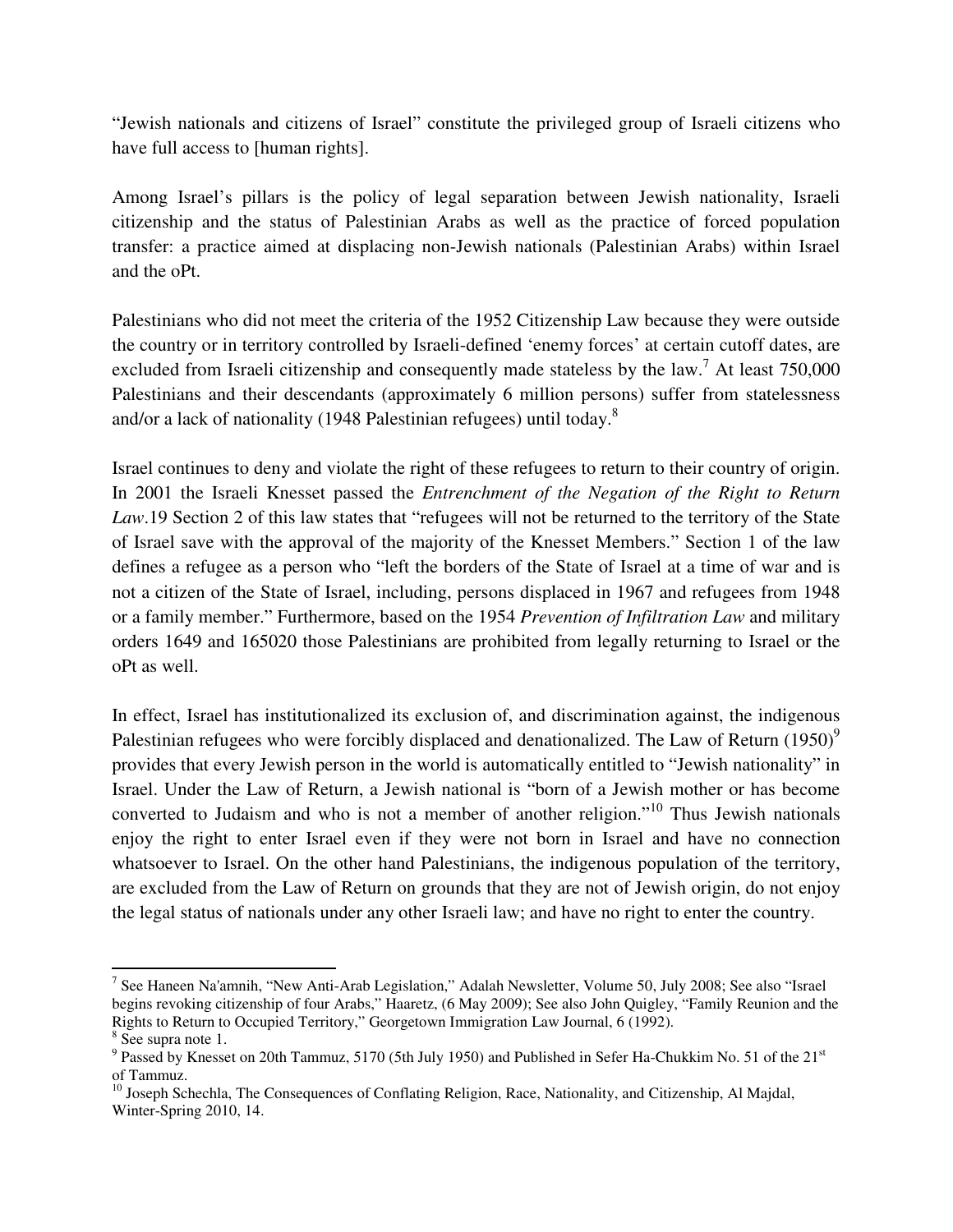"Jewish nationals and citizens of Israel" constitute the privileged group of Israeli citizens who have full access to [human rights].

Among Israel's pillars is the policy of legal separation between Jewish nationality, Israeli citizenship and the status of Palestinian Arabs as well as the practice of forced population transfer: a practice aimed at displacing non-Jewish nationals (Palestinian Arabs) within Israel and the oPt.

Palestinians who did not meet the criteria of the 1952 Citizenship Law because they were outside the country or in territory controlled by Israeli-defined 'enemy forces' at certain cutoff dates, are excluded from Israeli citizenship and consequently made stateless by the law.<sup>7</sup> At least 750,000 Palestinians and their descendants (approximately 6 million persons) suffer from statelessness and/or a lack of nationality (1948 Palestinian refugees) until today.<sup>8</sup>

Israel continues to deny and violate the right of these refugees to return to their country of origin. In 2001 the Israeli Knesset passed the *Entrenchment of the Negation of the Right to Return Law*.19 Section 2 of this law states that "refugees will not be returned to the territory of the State of Israel save with the approval of the majority of the Knesset Members." Section 1 of the law defines a refugee as a person who "left the borders of the State of Israel at a time of war and is not a citizen of the State of Israel, including, persons displaced in 1967 and refugees from 1948 or a family member." Furthermore, based on the 1954 *Prevention of Infiltration Law* and military orders 1649 and 165020 those Palestinians are prohibited from legally returning to Israel or the oPt as well.

In effect, Israel has institutionalized its exclusion of, and discrimination against, the indigenous Palestinian refugees who were forcibly displaced and denationalized. The Law of Return  $(1950)^9$ provides that every Jewish person in the world is automatically entitled to "Jewish nationality" in Israel. Under the Law of Return, a Jewish national is "born of a Jewish mother or has become converted to Judaism and who is not a member of another religion."<sup>10</sup> Thus Jewish nationals enjoy the right to enter Israel even if they were not born in Israel and have no connection whatsoever to Israel. On the other hand Palestinians, the indigenous population of the territory, are excluded from the Law of Return on grounds that they are not of Jewish origin, do not enjoy the legal status of nationals under any other Israeli law; and have no right to enter the country.

 $\overline{a}$ 

<sup>&</sup>lt;sup>7</sup> See Haneen Na'amnih, "New Anti-Arab Legislation," Adalah Newsletter, Volume 50, July 2008; See also "Israel begins revoking citizenship of four Arabs," Haaretz, (6 May 2009); See also John Quigley, "Family Reunion and the Rights to Return to Occupied Territory," Georgetown Immigration Law Journal, 6 (1992).

<sup>8</sup> See supra note 1.

<sup>&</sup>lt;sup>9</sup> Passed by Knesset on 20th Tammuz, 5170 (5th July 1950) and Published in Sefer Ha-Chukkim No. 51 of the 21<sup>st</sup> of Tammuz.

<sup>&</sup>lt;sup>10</sup> Joseph Schechla, The Consequences of Conflating Religion, Race, Nationality, and Citizenship, Al Majdal, Winter-Spring 2010, 14.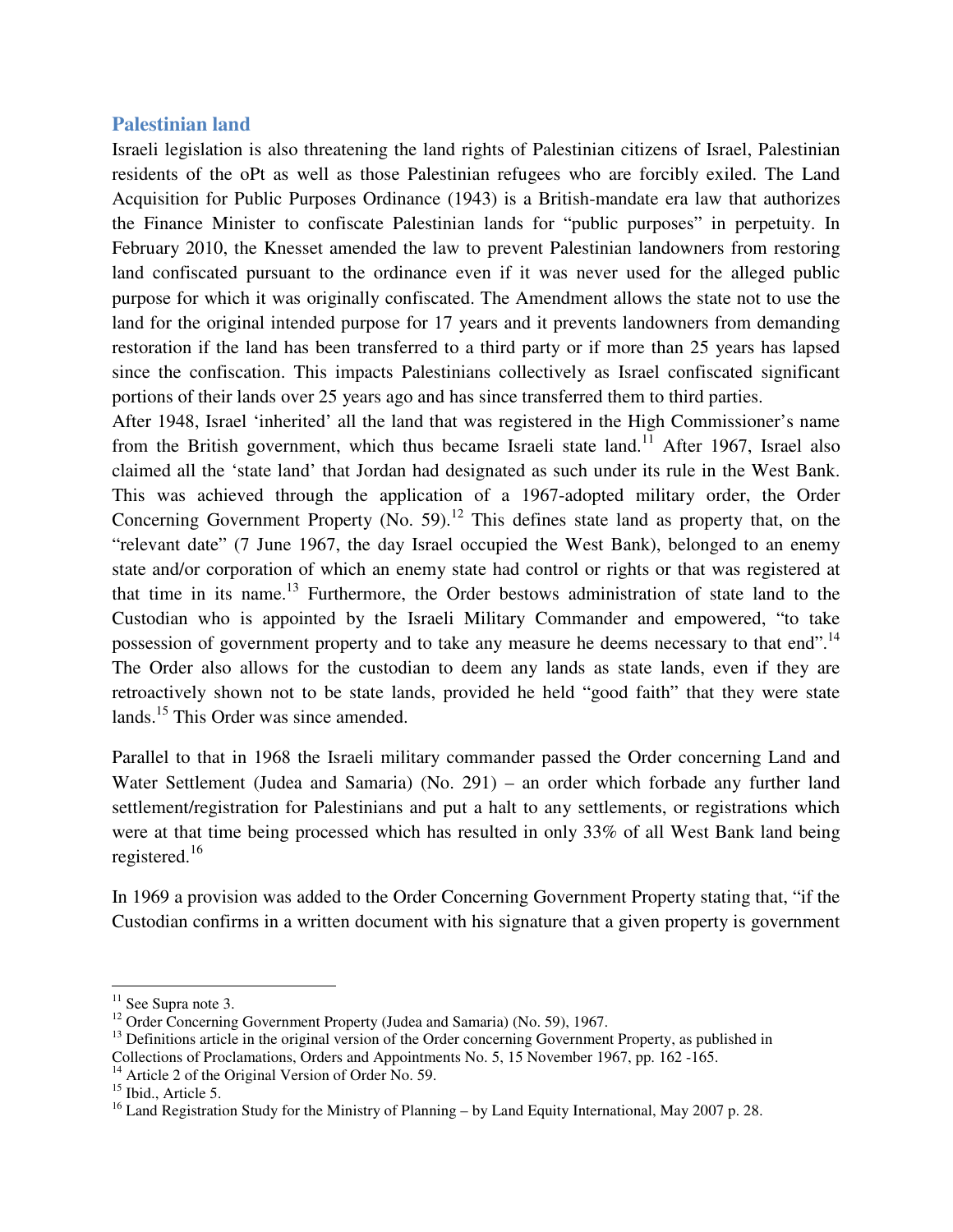## **Palestinian land**

Israeli legislation is also threatening the land rights of Palestinian citizens of Israel, Palestinian residents of the oPt as well as those Palestinian refugees who are forcibly exiled. The Land Acquisition for Public Purposes Ordinance (1943) is a British-mandate era law that authorizes the Finance Minister to confiscate Palestinian lands for "public purposes" in perpetuity. In February 2010, the Knesset amended the law to prevent Palestinian landowners from restoring land confiscated pursuant to the ordinance even if it was never used for the alleged public purpose for which it was originally confiscated. The Amendment allows the state not to use the land for the original intended purpose for 17 years and it prevents landowners from demanding restoration if the land has been transferred to a third party or if more than 25 years has lapsed since the confiscation. This impacts Palestinians collectively as Israel confiscated significant portions of their lands over 25 years ago and has since transferred them to third parties.

After 1948, Israel 'inherited' all the land that was registered in the High Commissioner's name from the British government, which thus became Israeli state land.<sup>11</sup> After 1967, Israel also claimed all the 'state land' that Jordan had designated as such under its rule in the West Bank. This was achieved through the application of a 1967-adopted military order, the Order Concerning Government Property (No. 59).<sup>12</sup> This defines state land as property that, on the "relevant date" (7 June 1967, the day Israel occupied the West Bank), belonged to an enemy state and/or corporation of which an enemy state had control or rights or that was registered at that time in its name.<sup>13</sup> Furthermore, the Order bestows administration of state land to the Custodian who is appointed by the Israeli Military Commander and empowered, "to take possession of government property and to take any measure he deems necessary to that end".<sup>14</sup> The Order also allows for the custodian to deem any lands as state lands, even if they are retroactively shown not to be state lands, provided he held "good faith" that they were state lands.<sup>15</sup> This Order was since amended.

Parallel to that in 1968 the Israeli military commander passed the Order concerning Land and Water Settlement (Judea and Samaria) (No. 291) – an order which forbade any further land settlement/registration for Palestinians and put a halt to any settlements, or registrations which were at that time being processed which has resulted in only 33% of all West Bank land being registered.<sup>16</sup>

In 1969 a provision was added to the Order Concerning Government Property stating that, "if the Custodian confirms in a written document with his signature that a given property is government

 $\overline{a}$ 

<sup>&</sup>lt;sup>11</sup> See Supra note 3.

<sup>&</sup>lt;sup>12</sup> Order Concerning Government Property (Judea and Samaria) (No. 59), 1967.

 $<sup>13</sup>$  Definitions article in the original version of the Order concerning Government Property, as published in</sup> Collections of Proclamations, Orders and Appointments No. 5, 15 November 1967, pp. 162 -165.

<sup>&</sup>lt;sup>14</sup> Article 2 of the Original Version of Order No. 59.

<sup>&</sup>lt;sup>15</sup> Ibid., Article 5.

<sup>&</sup>lt;sup>16</sup> Land Registration Study for the Ministry of Planning – by Land Equity International, May 2007 p. 28.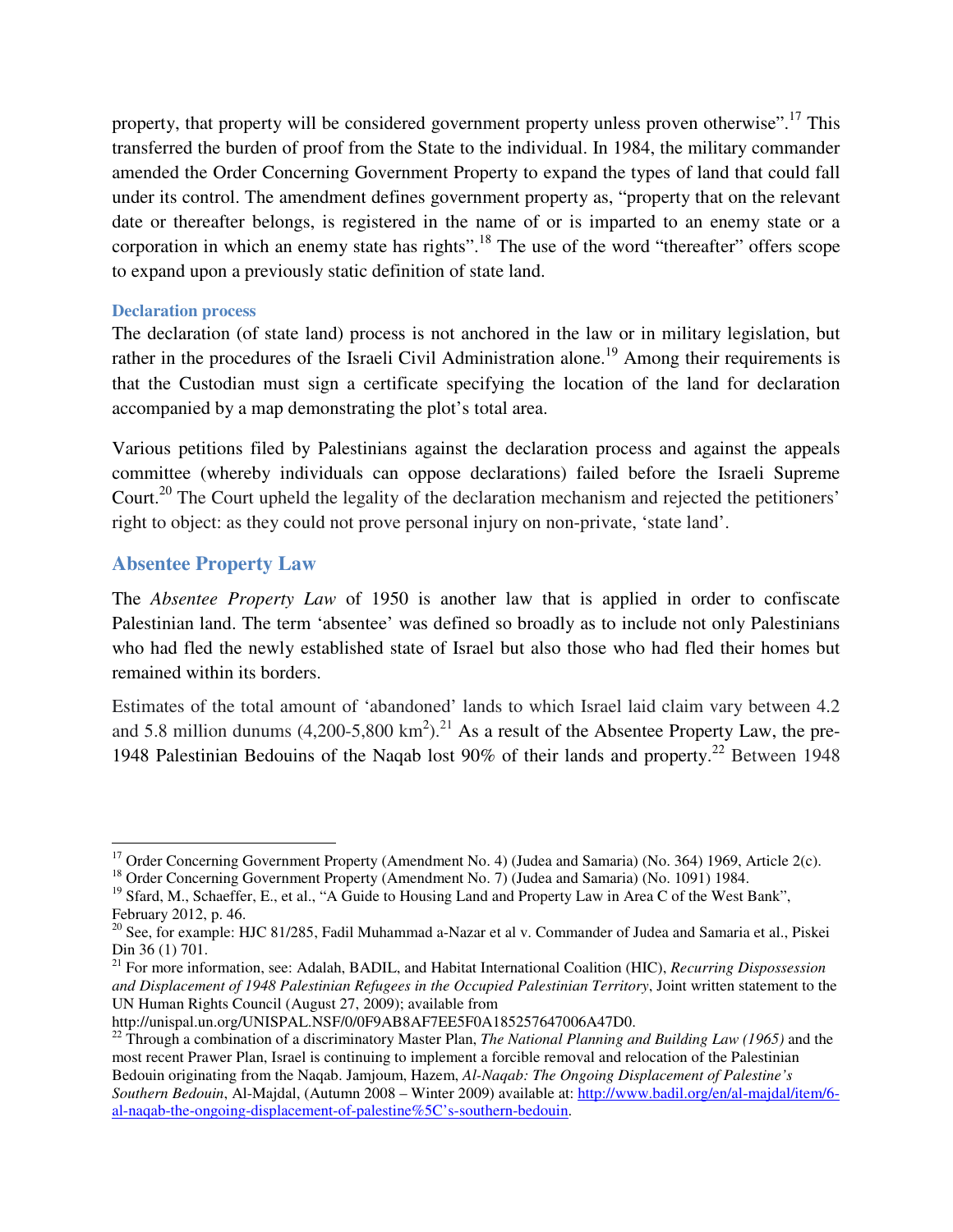property, that property will be considered government property unless proven otherwise".<sup>17</sup> This transferred the burden of proof from the State to the individual. In 1984, the military commander amended the Order Concerning Government Property to expand the types of land that could fall under its control. The amendment defines government property as, "property that on the relevant date or thereafter belongs, is registered in the name of or is imparted to an enemy state or a corporation in which an enemy state has rights".<sup>18</sup> The use of the word "thereafter" offers scope to expand upon a previously static definition of state land.

# **Declaration process**

The declaration (of state land) process is not anchored in the law or in military legislation, but rather in the procedures of the Israeli Civil Administration alone.<sup>19</sup> Among their requirements is that the Custodian must sign a certificate specifying the location of the land for declaration accompanied by a map demonstrating the plot's total area.

Various petitions filed by Palestinians against the declaration process and against the appeals committee (whereby individuals can oppose declarations) failed before the Israeli Supreme Court.<sup>20</sup> The Court upheld the legality of the declaration mechanism and rejected the petitioners' right to object: as they could not prove personal injury on non-private, 'state land'.

# **Absentee Property Law**

 $\overline{a}$ 

The *Absentee Property Law* of 1950 is another law that is applied in order to confiscate Palestinian land. The term 'absentee' was defined so broadly as to include not only Palestinians who had fled the newly established state of Israel but also those who had fled their homes but remained within its borders.

Estimates of the total amount of 'abandoned' lands to which Israel laid claim vary between 4.2 and 5.8 million dunums  $(4,200-5,800 \text{ km}^2)$ .<sup>21</sup> As a result of the Absentee Property Law, the pre-1948 Palestinian Bedouins of the Naqab lost 90% of their lands and property.<sup>22</sup> Between 1948

<sup>&</sup>lt;sup>17</sup> Order Concerning Government Property (Amendment No. 4) (Judea and Samaria) (No. 364) 1969, Article 2(c).

<sup>&</sup>lt;sup>18</sup> Order Concerning Government Property (Amendment No. 7) (Judea and Samaria) (No. 1091) 1984.

<sup>&</sup>lt;sup>19</sup> Sfard, M., Schaeffer, E., et al., "A Guide to Housing Land and Property Law in Area C of the West Bank", February 2012, p. 46.

<sup>&</sup>lt;sup>20</sup> See, for example: HJC 81/285, Fadil Muhammad a-Nazar et al v. Commander of Judea and Samaria et al., Piskei Din 36 (1) 701.

<sup>21</sup> For more information, see: Adalah, BADIL, and Habitat International Coalition (HIC), *Recurring Dispossession and Displacement of 1948 Palestinian Refugees in the Occupied Palestinian Territory*, Joint written statement to the UN Human Rights Council (August 27, 2009); available from

http://unispal.un.org/UNISPAL.NSF/0/0F9AB8AF7EE5F0A185257647006A47D0.

<sup>&</sup>lt;sup>22</sup> Through a combination of a discriminatory Master Plan, *The National Planning and Building Law (1965)* and the most recent Prawer Plan, Israel is continuing to implement a forcible removal and relocation of the Palestinian Bedouin originating from the Naqab. Jamjoum, Hazem, *Al-Naqab: The Ongoing Displacement of Palestine's Southern Bedouin*, Al-Majdal, (Autumn 2008 – Winter 2009) available at: http://www.badil.org/en/al-majdal/item/6 al-naqab-the-ongoing-displacement-of-palestine%5C's-southern-bedouin.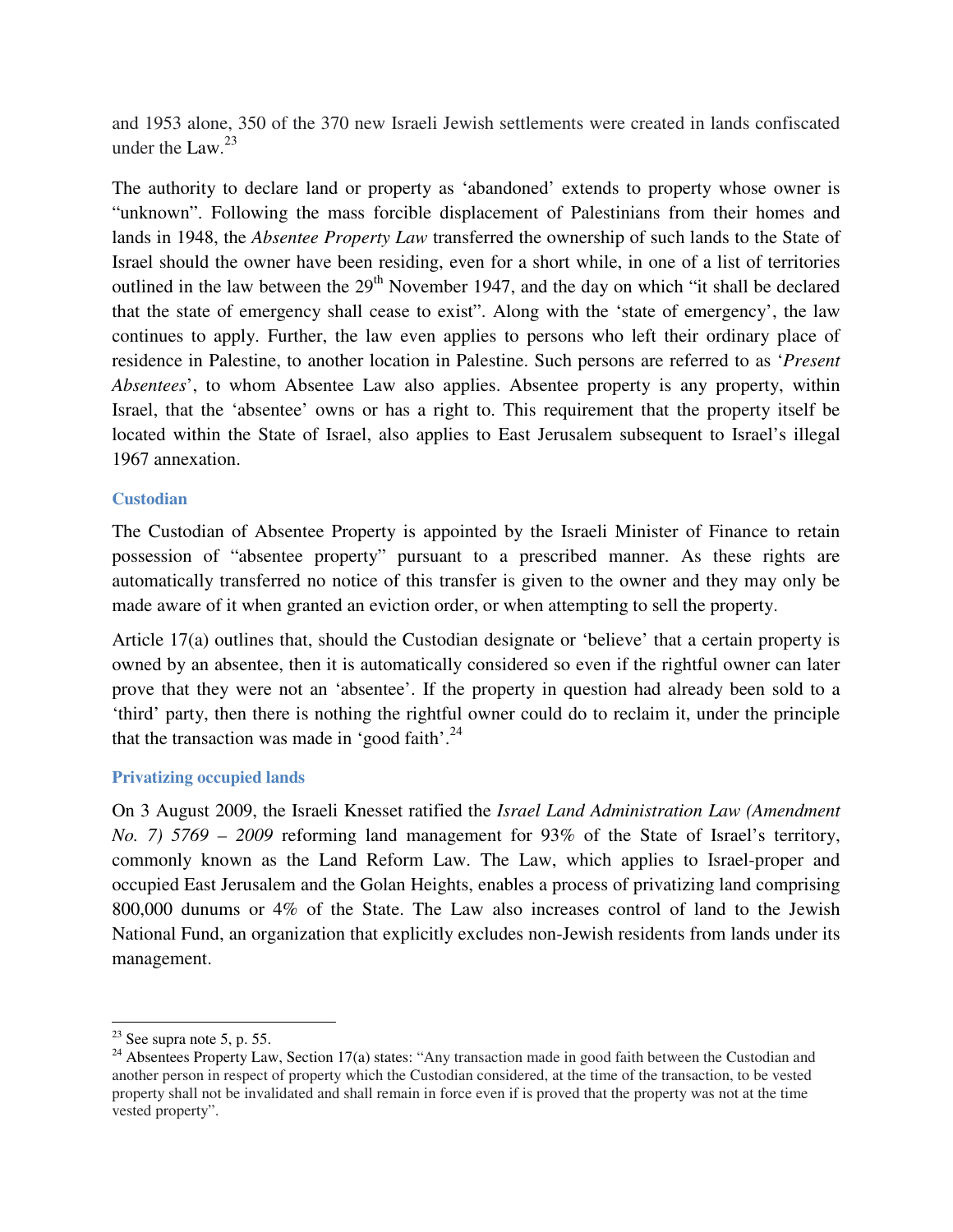and 1953 alone, 350 of the 370 new Israeli Jewish settlements were created in lands confiscated under the Law. $^{23}$ 

The authority to declare land or property as 'abandoned' extends to property whose owner is "unknown". Following the mass forcible displacement of Palestinians from their homes and lands in 1948, the *Absentee Property Law* transferred the ownership of such lands to the State of Israel should the owner have been residing, even for a short while, in one of a list of territories outlined in the law between the  $29<sup>th</sup>$  November 1947, and the day on which "it shall be declared that the state of emergency shall cease to exist". Along with the 'state of emergency', the law continues to apply. Further, the law even applies to persons who left their ordinary place of residence in Palestine, to another location in Palestine. Such persons are referred to as '*Present Absentees*', to whom Absentee Law also applies. Absentee property is any property, within Israel, that the 'absentee' owns or has a right to. This requirement that the property itself be located within the State of Israel, also applies to East Jerusalem subsequent to Israel's illegal 1967 annexation.

### **Custodian**

The Custodian of Absentee Property is appointed by the Israeli Minister of Finance to retain possession of "absentee property" pursuant to a prescribed manner. As these rights are automatically transferred no notice of this transfer is given to the owner and they may only be made aware of it when granted an eviction order, or when attempting to sell the property.

Article 17(a) outlines that, should the Custodian designate or 'believe' that a certain property is owned by an absentee, then it is automatically considered so even if the rightful owner can later prove that they were not an 'absentee'. If the property in question had already been sold to a 'third' party, then there is nothing the rightful owner could do to reclaim it, under the principle that the transaction was made in 'good faith'. $^{24}$ 

#### **Privatizing occupied lands**

On 3 August 2009, the Israeli Knesset ratified the *Israel Land Administration Law (Amendment No. 7) 5769 – 2009* reforming land management for 93% of the State of Israel's territory, commonly known as the Land Reform Law. The Law, which applies to Israel-proper and occupied East Jerusalem and the Golan Heights, enables a process of privatizing land comprising 800,000 dunums or 4% of the State. The Law also increases control of land to the Jewish National Fund, an organization that explicitly excludes non-Jewish residents from lands under its management.

l

 $23$  See supra note 5, p. 55.

<sup>&</sup>lt;sup>24</sup> Absentees Property Law, Section 17(a) states: "Any transaction made in good faith between the Custodian and another person in respect of property which the Custodian considered, at the time of the transaction, to be vested property shall not be invalidated and shall remain in force even if is proved that the property was not at the time vested property".